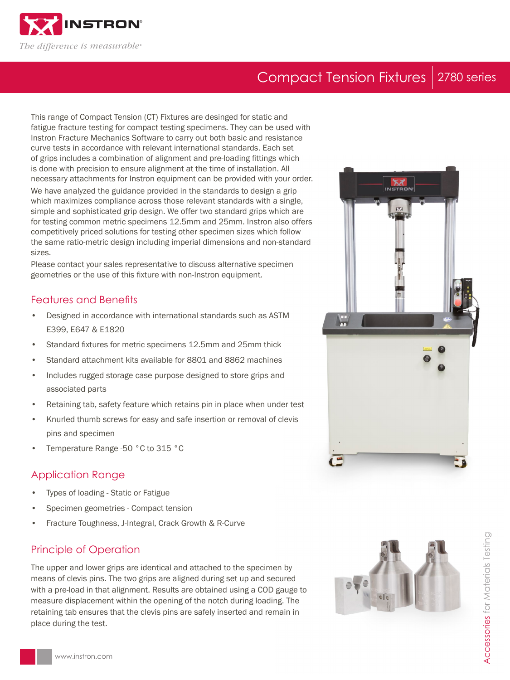

# Compact Tension Fixtures 2780 series

This range of Compact Tension (CT) Fixtures are desinged for static and fatigue fracture testing for compact testing specimens. They can be used with Instron Fracture Mechanics Software to carry out both basic and resistance curve tests in accordance with relevant international standards. Each set of grips includes a combination of alignment and pre-loading fittings which is done with precision to ensure alignment at the time of installation. All necessary attachments for Instron equipment can be provided with your order.

We have analyzed the guidance provided in the standards to design a grip which maximizes compliance across those relevant standards with a single, simple and sophisticated grip design. We offer two standard grips which are for testing common metric specimens 12.5mm and 25mm. Instron also offers competitively priced solutions for testing other specimen sizes which follow the same ratio-metric design including imperial dimensions and non-standard sizes.

Please contact your sales representative to discuss alternative specimen geometries or the use of this fixture with non-Instron equipment.

### Features and Benefits

- Designed in accordance with international standards such as ASTM E399, E647 & E1820
- Standard fixtures for metric specimens 12.5mm and 25mm thick
- Standard attachment kits available for 8801 and 8862 machines
- Includes rugged storage case purpose designed to store grips and associated parts
- Retaining tab, safety feature which retains pin in place when under test
- Knurled thumb screws for easy and safe insertion or removal of clevis pins and specimen
- Temperature Range -50 °C to 315 °C

### Application Range

- Types of loading Static or Fatigue
- Specimen geometries Compact tension
- Fracture Toughness, J-Integral, Crack Growth & R-Curve

### Principle of Operation

The upper and lower grips are identical and attached to the specimen by means of clevis pins. The two grips are aligned during set up and secured with a pre-load in that alignment. Results are obtained using a COD gauge to measure displacement within the opening of the notch during loading. The retaining tab ensures that the clevis pins are safely inserted and remain in place during the test.